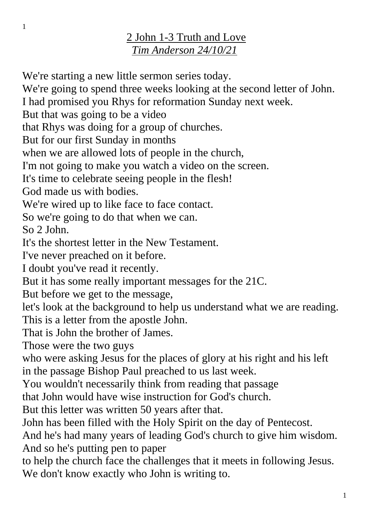## 2 John 1-3 Truth and Love *Tim Anderson 24/10/21*

We're starting a new little sermon series today. We're going to spend three weeks looking at the second letter of John. I had promised you Rhys for reformation Sunday next week. But that was going to be a video that Rhys was doing for a group of churches. But for our first Sunday in months when we are allowed lots of people in the church, I'm not going to make you watch a video on the screen. It's time to celebrate seeing people in the flesh! God made us with bodies. We're wired up to like face to face contact. So we're going to do that when we can. So 2 John. It's the shortest letter in the New Testament. I've never preached on it before. I doubt you've read it recently. But it has some really important messages for the 21C. But before we get to the message, let's look at the background to help us understand what we are reading. This is a letter from the apostle John. That is John the brother of James. Those were the two guys who were asking Jesus for the places of glory at his right and his left in the passage Bishop Paul preached to us last week. You wouldn't necessarily think from reading that passage that John would have wise instruction for God's church. But this letter was written 50 years after that. John has been filled with the Holy Spirit on the day of Pentecost. And he's had many years of leading God's church to give him wisdom. And so he's putting pen to paper to help the church face the challenges that it meets in following Jesus. We don't know exactly who John is writing to.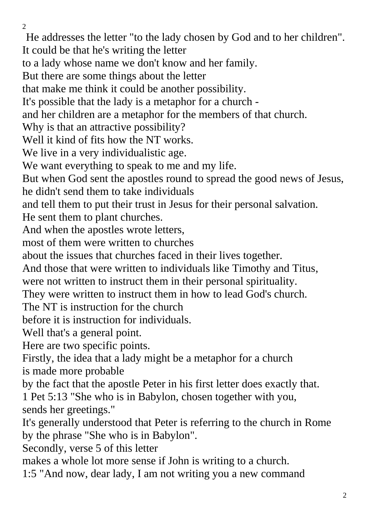$\mathcal{L}$ 

He addresses the letter "to the lady chosen by God and to her children". It could be that he's writing the letter to a lady whose name we don't know and her family. But there are some things about the letter that make me think it could be another possibility. It's possible that the lady is a metaphor for a church and her children are a metaphor for the members of that church. Why is that an attractive possibility? Well it kind of fits how the NT works. We live in a very individualistic age. We want everything to speak to me and my life. But when God sent the apostles round to spread the good news of Jesus, he didn't send them to take individuals and tell them to put their trust in Jesus for their personal salvation. He sent them to plant churches. And when the apostles wrote letters, most of them were written to churches about the issues that churches faced in their lives together. And those that were written to individuals like Timothy and Titus, were not written to instruct them in their personal spirituality. They were written to instruct them in how to lead God's church. The NT is instruction for the church before it is instruction for individuals. Well that's a general point. Here are two specific points. Firstly, the idea that a lady might be a metaphor for a church is made more probable by the fact that the apostle Peter in his first letter does exactly that. 1 Pet 5:13 "She who is in Babylon, chosen together with you, sends her greetings." It's generally understood that Peter is referring to the church in Rome by the phrase "She who is in Babylon". Secondly, verse 5 of this letter makes a whole lot more sense if John is writing to a church. 1:5 "And now, dear lady, I am not writing you a new command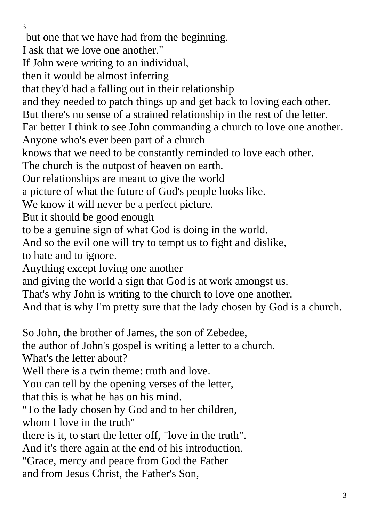but one that we have had from the beginning. I ask that we love one another." If John were writing to an individual, then it would be almost inferring that they'd had a falling out in their relationship and they needed to patch things up and get back to loving each other. But there's no sense of a strained relationship in the rest of the letter. Far better I think to see John commanding a church to love one another. Anyone who's ever been part of a church knows that we need to be constantly reminded to love each other. The church is the outpost of heaven on earth. Our relationships are meant to give the world a picture of what the future of God's people looks like. We know it will never be a perfect picture. But it should be good enough to be a genuine sign of what God is doing in the world. And so the evil one will try to tempt us to fight and dislike, to hate and to ignore. Anything except loving one another and giving the world a sign that God is at work amongst us. That's why John is writing to the church to love one another. And that is why I'm pretty sure that the lady chosen by God is a church. So John, the brother of James, the son of Zebedee, the author of John's gospel is writing a letter to a church. What's the letter about? Well there is a twin theme: truth and love. You can tell by the opening verses of the letter, that this is what he has on his mind. "To the lady chosen by God and to her children, whom I love in the truth" there is it, to start the letter off, "love in the truth". And it's there again at the end of his introduction. "Grace, mercy and peace from God the Father and from Jesus Christ, the Father's Son,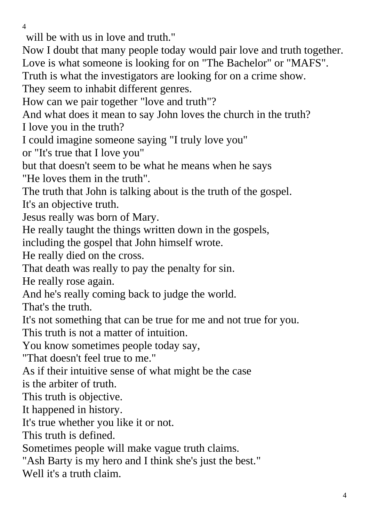will be with us in love and truth."

Now I doubt that many people today would pair love and truth together. Love is what someone is looking for on "The Bachelor" or "MAFS".

Truth is what the investigators are looking for on a crime show.

They seem to inhabit different genres.

How can we pair together "love and truth"?

And what does it mean to say John loves the church in the truth? I love you in the truth?

I could imagine someone saying "I truly love you"

or "It's true that I love you"

but that doesn't seem to be what he means when he says

"He loves them in the truth".

The truth that John is talking about is the truth of the gospel. It's an objective truth.

Jesus really was born of Mary.

He really taught the things written down in the gospels,

including the gospel that John himself wrote.

He really died on the cross.

That death was really to pay the penalty for sin.

He really rose again.

And he's really coming back to judge the world.

That's the truth.

It's not something that can be true for me and not true for you.

This truth is not a matter of intuition.

You know sometimes people today say,

"That doesn't feel true to me."

As if their intuitive sense of what might be the case

is the arbiter of truth.

This truth is objective.

It happened in history.

It's true whether you like it or not.

This truth is defined.

Sometimes people will make vague truth claims.

"Ash Barty is my hero and I think she's just the best."

Well it's a truth claim.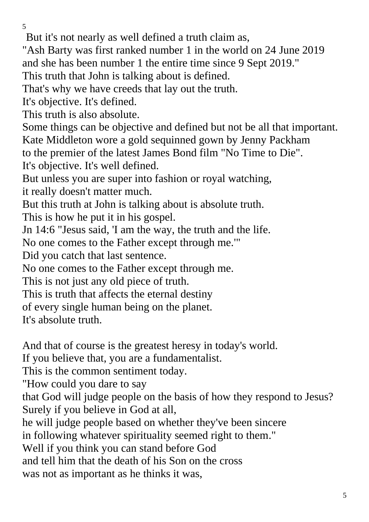But it's not nearly as well defined a truth claim as,

"Ash Barty was first ranked number 1 in the world on 24 June 2019 and she has been number 1 the entire time since 9 Sept 2019."

This truth that John is talking about is defined.

That's why we have creeds that lay out the truth.

It's objective. It's defined.

This truth is also absolute.

Some things can be objective and defined but not be all that important. Kate Middleton wore a gold sequinned gown by Jenny Packham

to the premier of the latest James Bond film "No Time to Die".

It's objective. It's well defined.

But unless you are super into fashion or royal watching,

it really doesn't matter much.

But this truth at John is talking about is absolute truth.

This is how he put it in his gospel.

Jn 14:6 "Jesus said, 'I am the way, the truth and the life.

No one comes to the Father except through me.'"

Did you catch that last sentence.

No one comes to the Father except through me.

This is not just any old piece of truth.

This is truth that affects the eternal destiny

of every single human being on the planet.

It's absolute truth.

And that of course is the greatest heresy in today's world.

If you believe that, you are a fundamentalist.

This is the common sentiment today.

"How could you dare to say

that God will judge people on the basis of how they respond to Jesus? Surely if you believe in God at all,

he will judge people based on whether they've been sincere

in following whatever spirituality seemed right to them."

Well if you think you can stand before God

and tell him that the death of his Son on the cross

was not as important as he thinks it was,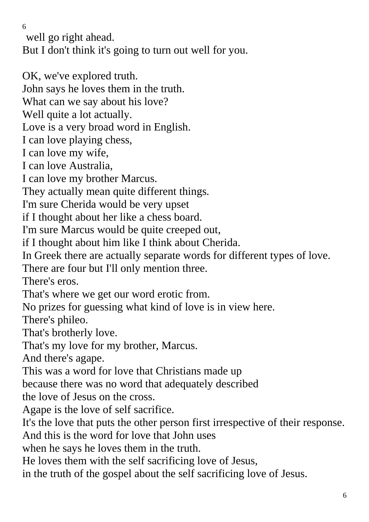well go right ahead.

But I don't think it's going to turn out well for you.

OK, we've explored truth.

John says he loves them in the truth.

What can we say about his love?

Well quite a lot actually.

Love is a very broad word in English.

I can love playing chess,

I can love my wife,

I can love Australia,

I can love my brother Marcus.

They actually mean quite different things.

I'm sure Cherida would be very upset

if I thought about her like a chess board.

I'm sure Marcus would be quite creeped out,

if I thought about him like I think about Cherida.

In Greek there are actually separate words for different types of love.

There are four but I'll only mention three.

There's eros.

That's where we get our word erotic from.

No prizes for guessing what kind of love is in view here.

There's phileo.

That's brotherly love.

That's my love for my brother, Marcus.

And there's agape.

This was a word for love that Christians made up

because there was no word that adequately described

the love of Jesus on the cross.

Agape is the love of self sacrifice.

It's the love that puts the other person first irrespective of their response.

And this is the word for love that John uses

when he says he loves them in the truth.

He loves them with the self sacrificing love of Jesus,

in the truth of the gospel about the self sacrificing love of Jesus.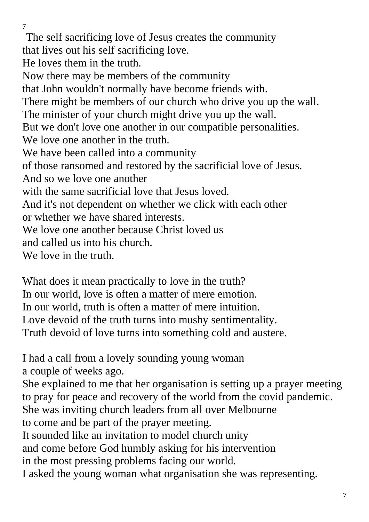The self sacrificing love of Jesus creates the community that lives out his self sacrificing love. He loves them in the truth. Now there may be members of the community that John wouldn't normally have become friends with. There might be members of our church who drive you up the wall. The minister of your church might drive you up the wall. But we don't love one another in our compatible personalities. We love one another in the truth. We have been called into a community of those ransomed and restored by the sacrificial love of Jesus. And so we love one another with the same sacrificial love that Jesus loved. And it's not dependent on whether we click with each other or whether we have shared interests. We love one another because Christ loved us and called us into his church. We love in the truth.

What does it mean practically to love in the truth? In our world, love is often a matter of mere emotion. In our world, truth is often a matter of mere intuition. Love devoid of the truth turns into mushy sentimentality. Truth devoid of love turns into something cold and austere.

I had a call from a lovely sounding young woman a couple of weeks ago.

She explained to me that her organisation is setting up a prayer meeting to pray for peace and recovery of the world from the covid pandemic.

She was inviting church leaders from all over Melbourne

to come and be part of the prayer meeting.

It sounded like an invitation to model church unity

and come before God humbly asking for his intervention

in the most pressing problems facing our world.

I asked the young woman what organisation she was representing.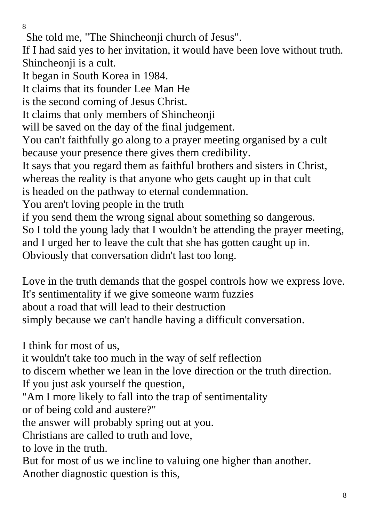She told me, "The Shincheonji church of Jesus".

If I had said yes to her invitation, it would have been love without truth. Shincheonji is a cult.

It began in South Korea in 1984.

It claims that its founder Lee Man He

is the second coming of Jesus Christ.

It claims that only members of Shincheonji

will be saved on the day of the final judgement.

You can't faithfully go along to a prayer meeting organised by a cult because your presence there gives them credibility.

It says that you regard them as faithful brothers and sisters in Christ,

whereas the reality is that anyone who gets caught up in that cult

is headed on the pathway to eternal condemnation.

You aren't loving people in the truth

if you send them the wrong signal about something so dangerous.

So I told the young lady that I wouldn't be attending the prayer meeting,

and I urged her to leave the cult that she has gotten caught up in.

Obviously that conversation didn't last too long.

Love in the truth demands that the gospel controls how we express love. It's sentimentality if we give someone warm fuzzies about a road that will lead to their destruction simply because we can't handle having a difficult conversation.

I think for most of us,

it wouldn't take too much in the way of self reflection

to discern whether we lean in the love direction or the truth direction.

If you just ask yourself the question,

"Am I more likely to fall into the trap of sentimentality or of being cold and austere?"

the answer will probably spring out at you.

Christians are called to truth and love,

to love in the truth.

But for most of us we incline to valuing one higher than another. Another diagnostic question is this,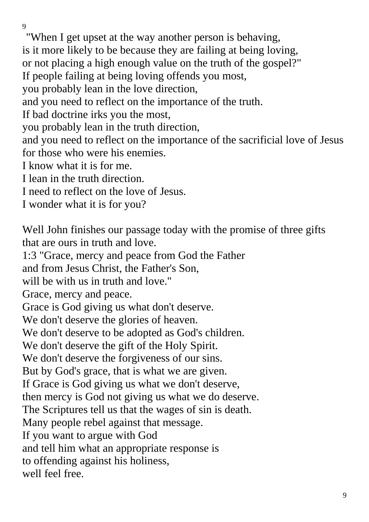"When I get upset at the way another person is behaving, is it more likely to be because they are failing at being loving, or not placing a high enough value on the truth of the gospel?" If people failing at being loving offends you most, you probably lean in the love direction, and you need to reflect on the importance of the truth. If bad doctrine irks you the most, you probably lean in the truth direction, and you need to reflect on the importance of the sacrificial love of Jesus for those who were his enemies. I know what it is for me. I lean in the truth direction. I need to reflect on the love of Jesus. I wonder what it is for you? Well John finishes our passage today with the promise of three gifts that are ours in truth and love. 1:3 "Grace, mercy and peace from God the Father and from Jesus Christ, the Father's Son, will be with us in truth and love." Grace, mercy and peace. Grace is God giving us what don't deserve. We don't deserve the glories of heaven. We don't deserve to be adopted as God's children. We don't deserve the gift of the Holy Spirit. We don't deserve the forgiveness of our sins. But by God's grace, that is what we are given. If Grace is God giving us what we don't deserve, then mercy is God not giving us what we do deserve. The Scriptures tell us that the wages of sin is death. Many people rebel against that message. If you want to argue with God

and tell him what an appropriate response is

to offending against his holiness,

well feel free.